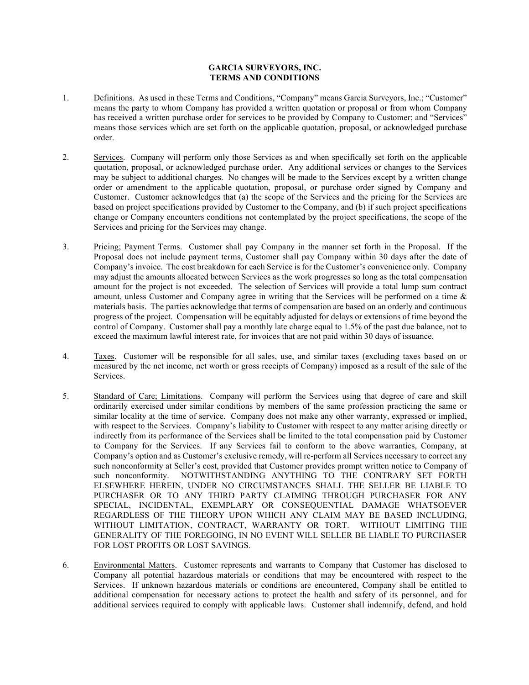## **GARCIA SURVEYORS, INC. TERMS AND CONDITIONS**

- 1. Definitions. As used in these Terms and Conditions, "Company" means Garcia Surveyors, Inc.; "Customer" means the party to whom Company has provided a written quotation or proposal or from whom Company has received a written purchase order for services to be provided by Company to Customer; and "Services" means those services which are set forth on the applicable quotation, proposal, or acknowledged purchase order.
- 2. Services. Company will perform only those Services as and when specifically set forth on the applicable quotation, proposal, or acknowledged purchase order. Any additional services or changes to the Services may be subject to additional charges. No changes will be made to the Services except by a written change order or amendment to the applicable quotation, proposal, or purchase order signed by Company and Customer. Customer acknowledges that (a) the scope of the Services and the pricing for the Services are based on project specifications provided by Customer to the Company, and (b) if such project specifications change or Company encounters conditions not contemplated by the project specifications, the scope of the Services and pricing for the Services may change.
- 3. Pricing; Payment Terms. Customer shall pay Company in the manner set forth in the Proposal. If the Proposal does not include payment terms, Customer shall pay Company within 30 days after the date of Company's invoice. The cost breakdown for each Service is for the Customer's convenience only. Company may adjust the amounts allocated between Services as the work progresses so long as the total compensation amount for the project is not exceeded. The selection of Services will provide a total lump sum contract amount, unless Customer and Company agree in writing that the Services will be performed on a time & materials basis. The parties acknowledge that terms of compensation are based on an orderly and continuous progress of the project. Compensation will be equitably adjusted for delays or extensions of time beyond the control of Company. Customer shall pay a monthly late charge equal to 1.5% of the past due balance, not to exceed the maximum lawful interest rate, for invoices that are not paid within 30 days of issuance.
- 4. Taxes. Customer will be responsible for all sales, use, and similar taxes (excluding taxes based on or measured by the net income, net worth or gross receipts of Company) imposed as a result of the sale of the Services.
- 5. Standard of Care; Limitations. Company will perform the Services using that degree of care and skill ordinarily exercised under similar conditions by members of the same profession practicing the same or similar locality at the time of service. Company does not make any other warranty, expressed or implied, with respect to the Services. Company's liability to Customer with respect to any matter arising directly or indirectly from its performance of the Services shall be limited to the total compensation paid by Customer to Company for the Services. If any Services fail to conform to the above warranties, Company, at Company's option and as Customer's exclusive remedy, will re-perform all Services necessary to correct any such nonconformity at Seller's cost, provided that Customer provides prompt written notice to Company of such nonconformity. NOTWITHSTANDING ANYTHING TO THE CONTRARY SET FORTH ELSEWHERE HEREIN, UNDER NO CIRCUMSTANCES SHALL THE SELLER BE LIABLE TO PURCHASER OR TO ANY THIRD PARTY CLAIMING THROUGH PURCHASER FOR ANY SPECIAL, INCIDENTAL, EXEMPLARY OR CONSEQUENTIAL DAMAGE WHATSOEVER REGARDLESS OF THE THEORY UPON WHICH ANY CLAIM MAY BE BASED INCLUDING, WITHOUT LIMITATION, CONTRACT, WARRANTY OR TORT. WITHOUT LIMITING THE GENERALITY OF THE FOREGOING, IN NO EVENT WILL SELLER BE LIABLE TO PURCHASER FOR LOST PROFITS OR LOST SAVINGS.
- 6. Environmental Matters. Customer represents and warrants to Company that Customer has disclosed to Company all potential hazardous materials or conditions that may be encountered with respect to the Services. If unknown hazardous materials or conditions are encountered, Company shall be entitled to additional compensation for necessary actions to protect the health and safety of its personnel, and for additional services required to comply with applicable laws. Customer shall indemnify, defend, and hold